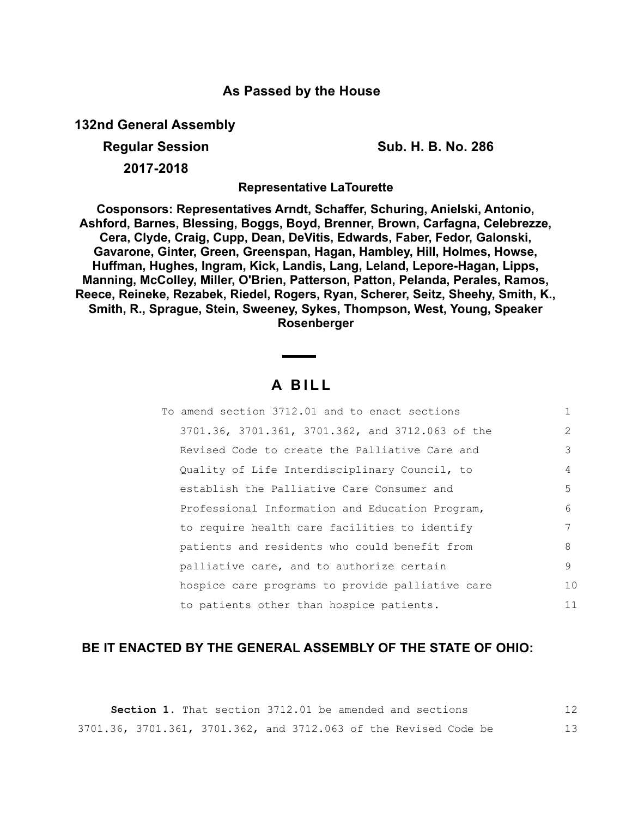## **As Passed by the House**

**132nd General Assembly**

**Regular Session Sub. H. B. No. 286**

**2017-2018**

**Representative LaTourette**

**Cosponsors: Representatives Arndt, Schaffer, Schuring, Anielski, Antonio, Ashford, Barnes, Blessing, Boggs, Boyd, Brenner, Brown, Carfagna, Celebrezze, Cera, Clyde, Craig, Cupp, Dean, DeVitis, Edwards, Faber, Fedor, Galonski, Gavarone, Ginter, Green, Greenspan, Hagan, Hambley, Hill, Holmes, Howse, Huffman, Hughes, Ingram, Kick, Landis, Lang, Leland, Lepore-Hagan, Lipps, Manning, McColley, Miller, O'Brien, Patterson, Patton, Pelanda, Perales, Ramos, Reece, Reineke, Rezabek, Riedel, Rogers, Ryan, Scherer, Seitz, Sheehy, Smith, K., Smith, R., Sprague, Stein, Sweeney, Sykes, Thompson, West, Young, Speaker Rosenberger**

## **A B I L L**

| To amend section 3712.01 and to enact sections   |               |
|--------------------------------------------------|---------------|
| 3701.36, 3701.361, 3701.362, and 3712.063 of the | $\mathcal{L}$ |
| Revised Code to create the Palliative Care and   | 3             |
| Quality of Life Interdisciplinary Council, to    | 4             |
| establish the Palliative Care Consumer and       | .5            |
| Professional Information and Education Program,  | 6             |
| to require health care facilities to identify    |               |
| patients and residents who could benefit from    | 8             |
| palliative care, and to authorize certain        | 9             |
| hospice care programs to provide palliative care | 10            |
| to patients other than hospice patients.         | 11            |

## **BE IT ENACTED BY THE GENERAL ASSEMBLY OF THE STATE OF OHIO:**

**Section 1.** That section 3712.01 be amended and sections 3701.36, 3701.361, 3701.362, and 3712.063 of the Revised Code be 12 13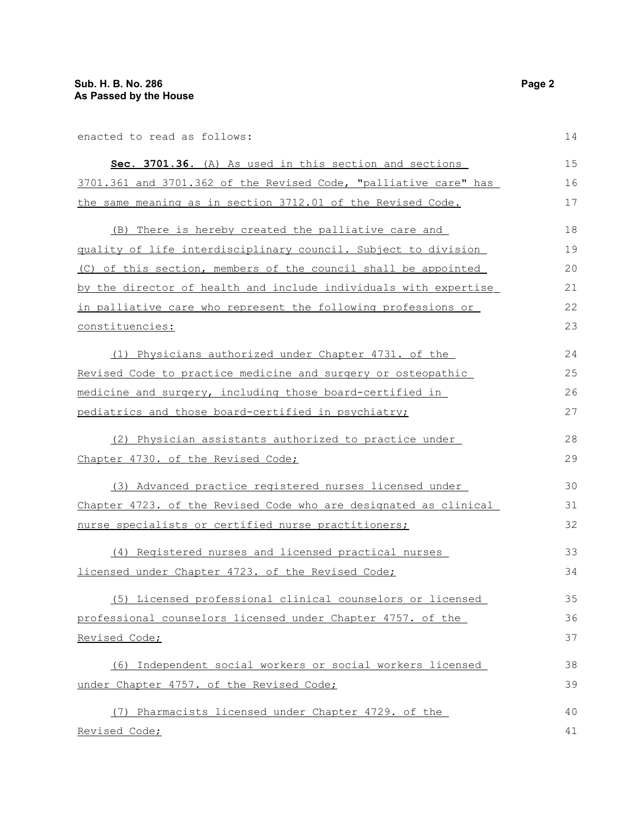enacted to read as follows:

14

| Sec. 3701.36. (A) As used in this section and sections           | 15 |
|------------------------------------------------------------------|----|
| 3701.361 and 3701.362 of the Revised Code, "palliative care" has | 16 |
| the same meaning as in section 3712.01 of the Revised Code.      | 17 |
| (B) There is hereby created the palliative care and              | 18 |
| quality of life interdisciplinary council. Subject to division   | 19 |
| (C) of this section, members of the council shall be appointed   | 20 |
| by the director of health and include individuals with expertise | 21 |
| in palliative care who represent the following professions or    | 22 |
| constituencies:                                                  | 23 |
| (1) Physicians authorized under Chapter 4731. of the             | 24 |
| Revised Code to practice medicine and surgery or osteopathic     | 25 |
| medicine and surgery, including those board-certified in         | 26 |
| pediatrics and those board-certified in psychiatry;              | 27 |
| (2) Physician assistants authorized to practice under            | 28 |
| Chapter 4730. of the Revised Code;                               | 29 |
| (3) Advanced practice registered nurses licensed under           | 30 |
| Chapter 4723. of the Revised Code who are designated as clinical | 31 |
| nurse specialists or certified nurse practitioners;              | 32 |
| (4) Registered nurses and licensed practical nurses              | 33 |
| licensed under Chapter 4723. of the Revised Code;                | 34 |
| (5) Licensed professional clinical counselors or licensed        | 35 |
| professional counselors licensed under Chapter 4757. of the      | 36 |
| Revised Code;                                                    | 37 |
| (6) Independent social workers or social workers licensed        | 38 |
| under Chapter 4757. of the Revised Code;                         | 39 |
| (7) Pharmacists licensed under Chapter 4729. of the              | 40 |
| Revised Code;                                                    | 41 |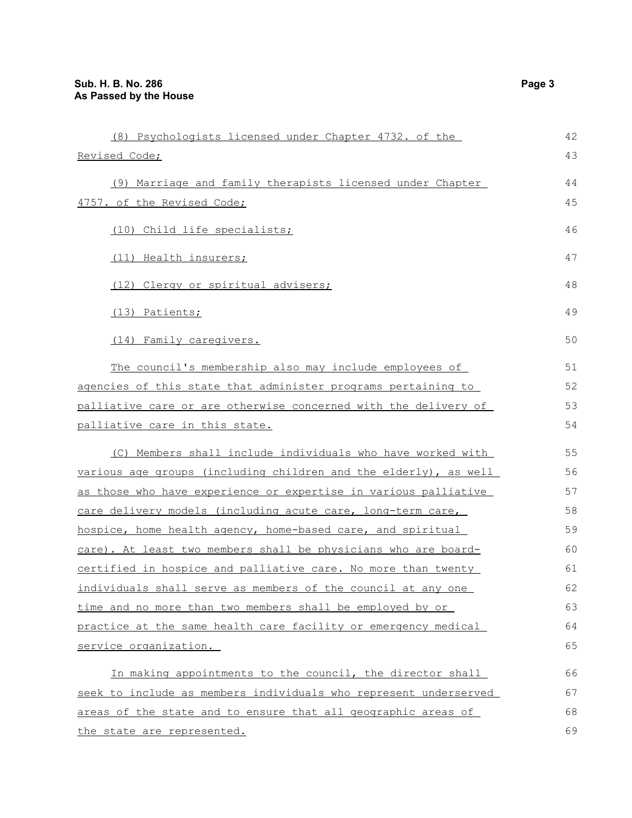| (8) Psychologists licensed under Chapter 4732. of the            | 42 |
|------------------------------------------------------------------|----|
| Revised Code;                                                    | 43 |
| (9) Marriage and family therapists licensed under Chapter        | 44 |
| 4757. of the Revised Code;                                       | 45 |
| (10) Child life specialists;                                     | 46 |
| (11) Health insurers;                                            | 47 |
| (12) Clergy or spiritual advisers;                               | 48 |
| (13) Patients;                                                   | 49 |
| (14) Family caregivers.                                          | 50 |
| The council's membership also may include employees of           | 51 |
| agencies of this state that administer programs pertaining to    | 52 |
| palliative care or are otherwise concerned with the delivery of  | 53 |
| palliative care in this state.                                   | 54 |
| (C) Members shall include individuals who have worked with       | 55 |
| various age groups (including children and the elderly), as well | 56 |
| as those who have experience or expertise in various palliative  | 57 |
| care delivery models (including acute care, long-term care,      | 58 |
| hospice, home health agency, home-based care, and spiritual      | 59 |
| care). At least two members shall be physicians who are board-   | 60 |
| certified in hospice and palliative care. No more than twenty    | 61 |
| individuals shall serve as members of the council at any one     | 62 |
| time and no more than two members shall be employed by or        | 63 |
| practice at the same health care facility or emergency medical   | 64 |
| service organization.                                            | 65 |
| In making appointments to the council, the director shall        | 66 |
| seek to include as members individuals who represent underserved | 67 |
| areas of the state and to ensure that all geographic areas of    | 68 |
| the state are represented.                                       | 69 |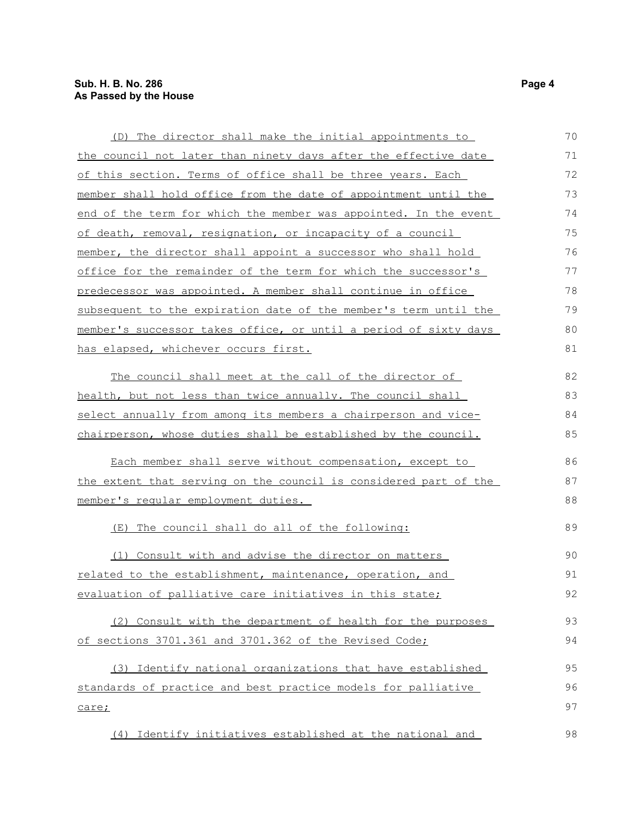| (D) The director shall make the initial appointments to          | 70 |
|------------------------------------------------------------------|----|
| the council not later than ninety days after the effective date  | 71 |
| of this section. Terms of office shall be three years. Each      | 72 |
| member shall hold office from the date of appointment until the  | 73 |
| end of the term for which the member was appointed. In the event | 74 |
| of death, removal, resignation, or incapacity of a council       | 75 |
| member, the director shall appoint a successor who shall hold    | 76 |
| office for the remainder of the term for which the successor's   | 77 |
| predecessor was appointed. A member shall continue in office     | 78 |
| subsequent to the expiration date of the member's term until the | 79 |
| member's successor takes office, or until a period of sixty days | 80 |
| has elapsed, whichever occurs first.                             | 81 |
| The council shall meet at the call of the director of            | 82 |
| health, but not less than twice annually. The council shall      | 83 |
| select annually from among its members a chairperson and vice-   | 84 |
| chairperson, whose duties shall be established by the council.   | 85 |
| Each member shall serve without compensation, except to          | 86 |
| the extent that serving on the council is considered part of the | 87 |
| member's regular employment duties.                              | 88 |
| The council shall do all of the following:<br>(E)                | 89 |
| (1) Consult with and advise the director on matters              | 90 |
| <u>related to the establishment, maintenance, operation, and</u> | 91 |
| evaluation of palliative care initiatives in this state;         | 92 |
| (2) Consult with the department of health for the purposes       | 93 |
| of sections 3701.361 and 3701.362 of the Revised Code;           | 94 |
| (3) Identify national organizations that have established        | 95 |
| standards of practice and best practice models for palliative    | 96 |
| care;                                                            | 97 |
| (4) Identify initiatives established at the national and         | 98 |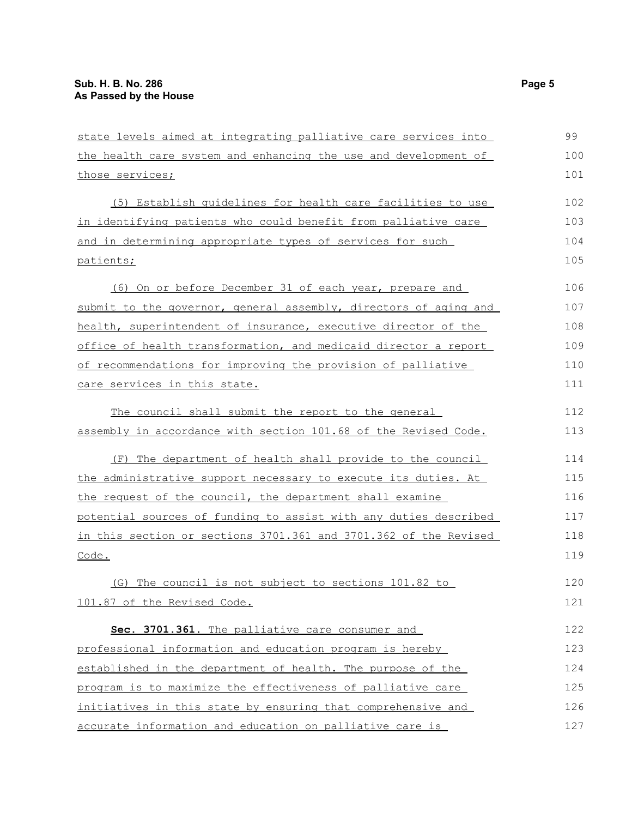| state levels aimed at integrating palliative care services into  | 99  |
|------------------------------------------------------------------|-----|
| the health care system and enhancing the use and development of  | 100 |
| those services;                                                  | 101 |
| (5) Establish quidelines for health care facilities to use       | 102 |
| in identifying patients who could benefit from palliative care   | 103 |
| and in determining appropriate types of services for such        | 104 |
| patients;                                                        | 105 |
| (6) On or before December 31 of each year, prepare and           | 106 |
| submit to the governor, general assembly, directors of aging and | 107 |
| health, superintendent of insurance, executive director of the   | 108 |
| office of health transformation, and medicaid director a report  | 109 |
| of recommendations for improving the provision of palliative     | 110 |
| care services in this state.                                     | 111 |
| The council shall submit the report to the general               | 112 |
| assembly in accordance with section 101.68 of the Revised Code.  | 113 |
| (F) The department of health shall provide to the council        | 114 |
| the administrative support necessary to execute its duties. At   | 115 |
| the request of the council, the department shall examine         | 116 |
| potential sources of funding to assist with any duties described | 117 |
| in this section or sections 3701.361 and 3701.362 of the Revised | 118 |
| Code.                                                            | 119 |
| (G) The council is not subject to sections 101.82 to             | 120 |
| 101.87 of the Revised Code.                                      | 121 |
| Sec. 3701.361. The palliative care consumer and                  | 122 |
| professional information and education program is hereby         | 123 |
| established in the department of health. The purpose of the      | 124 |
| program is to maximize the effectiveness of palliative care      | 125 |
| initiatives in this state by ensuring that comprehensive and     | 126 |
| accurate information and education on palliative care is         | 127 |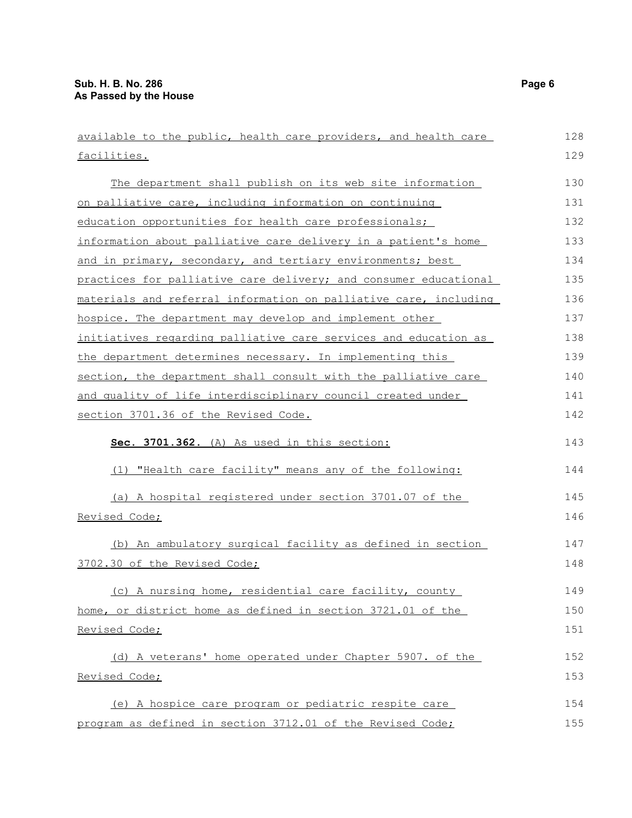| available to the public, health care providers, and health care  | 128 |
|------------------------------------------------------------------|-----|
| facilities.                                                      | 129 |
| The department shall publish on its web site information         | 130 |
| on palliative care, including information on continuing          | 131 |
| education opportunities for health care professionals;           | 132 |
| information about palliative care delivery in a patient's home   | 133 |
| and in primary, secondary, and tertiary environments; best       | 134 |
| practices for palliative care delivery; and consumer educational | 135 |
| materials and referral information on palliative care, including | 136 |
| hospice. The department may develop and implement other          | 137 |
| initiatives regarding palliative care services and education as  | 138 |
| the department determines necessary. In implementing this        | 139 |
| section, the department shall consult with the palliative care   | 140 |
| and quality of life interdisciplinary council created under      | 141 |
| section 3701.36 of the Revised Code.                             | 142 |
| Sec. 3701.362. (A) As used in this section:                      | 143 |
| (1) "Health care facility" means any of the following:           | 144 |
| (a) A hospital registered under section 3701.07 of the           | 145 |
| Revised Code;                                                    | 146 |
| (b) An ambulatory surgical facility as defined in section        | 147 |
| 3702.30 of the Revised Code;                                     | 148 |
| (c) A nursing home, residential care facility, county            | 149 |
| home, or district home as defined in section 3721.01 of the      | 150 |
| Revised Code;                                                    | 151 |
| (d) A veterans' home operated under Chapter 5907. of the         | 152 |
| Revised Code;                                                    | 153 |
| (e) A hospice care program or pediatric respite care             | 154 |
| program as defined in section 3712.01 of the Revised Code;       | 155 |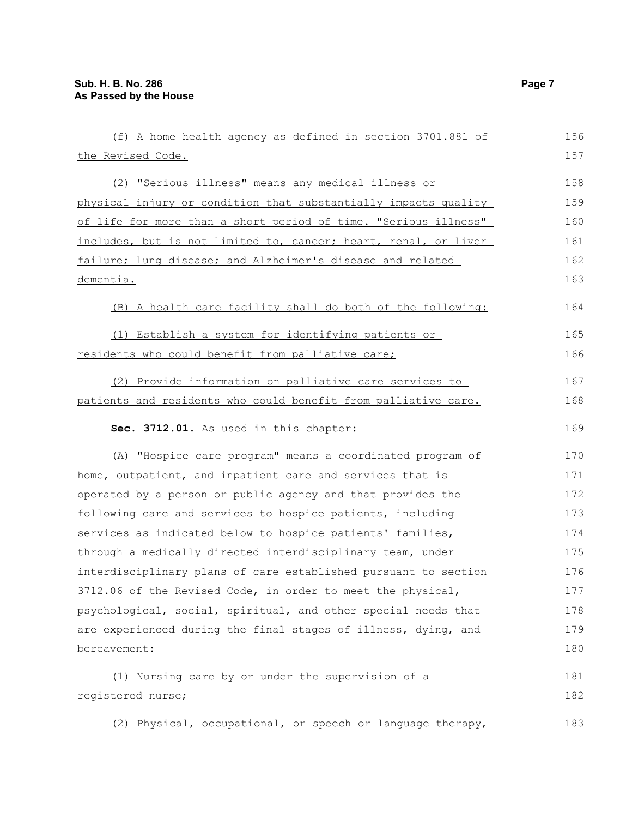| (f) A home health agency as defined in section 3701.881 of      | 156 |
|-----------------------------------------------------------------|-----|
| the Revised Code.                                               | 157 |
| (2) "Serious illness" means any medical illness or              | 158 |
| physical injury or condition that substantially impacts quality | 159 |
| of life for more than a short period of time. "Serious illness" | 160 |
| includes, but is not limited to, cancer; heart, renal, or liver | 161 |
| failure; lung disease; and Alzheimer's disease and related      | 162 |
| dementia.                                                       | 163 |
| (B) A health care facility shall do both of the following:      | 164 |
| (1) Establish a system for identifying patients or              | 165 |
| residents who could benefit from palliative care;               | 166 |
| (2) Provide information on palliative care services to          | 167 |
| patients and residents who could benefit from palliative care.  | 168 |
| Sec. 3712.01. As used in this chapter:                          | 169 |
| (A) "Hospice care program" means a coordinated program of       | 170 |
| home, outpatient, and inpatient care and services that is       | 171 |
| operated by a person or public agency and that provides the     | 172 |
| following care and services to hospice patients, including      | 173 |
| services as indicated below to hospice patients' families,      | 174 |
| through a medically directed interdisciplinary team, under      | 175 |
| interdisciplinary plans of care established pursuant to section | 176 |
| 3712.06 of the Revised Code, in order to meet the physical,     | 177 |
| psychological, social, spiritual, and other special needs that  | 178 |
| are experienced during the final stages of illness, dying, and  | 179 |
| bereavement:                                                    | 180 |
| (1) Nursing care by or under the supervision of a               | 181 |
| registered nurse;                                               | 182 |
| (2) Physical, occupational, or speech or language therapy,      | 183 |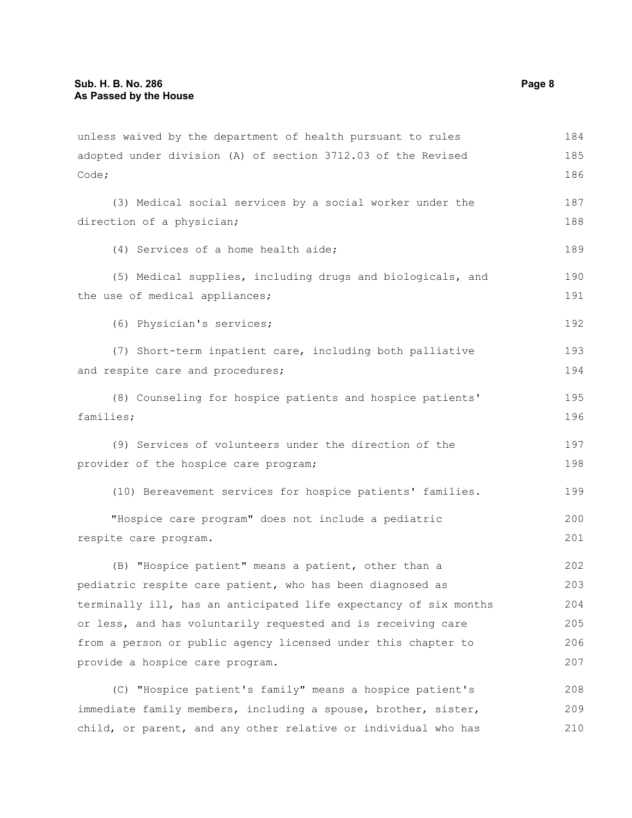unless waived by the department of health pursuant to rules adopted under division (A) of section 3712.03 of the Revised Code; (3) Medical social services by a social worker under the direction of a physician; (4) Services of a home health aide; (5) Medical supplies, including drugs and biologicals, and the use of medical appliances; (6) Physician's services; (7) Short-term inpatient care, including both palliative and respite care and procedures; (8) Counseling for hospice patients and hospice patients' families; (9) Services of volunteers under the direction of the provider of the hospice care program; (10) Bereavement services for hospice patients' families. "Hospice care program" does not include a pediatric respite care program. (B) "Hospice patient" means a patient, other than a pediatric respite care patient, who has been diagnosed as terminally ill, has an anticipated life expectancy of six months or less, and has voluntarily requested and is receiving care from a person or public agency licensed under this chapter to provide a hospice care program. (C) "Hospice patient's family" means a hospice patient's immediate family members, including a spouse, brother, sister, child, or parent, and any other relative or individual who has 184 185 186 187 188 189 190 191 192 193 194 195 196 197 198 199 200 201 202 203 204 205 206 207 208 209 210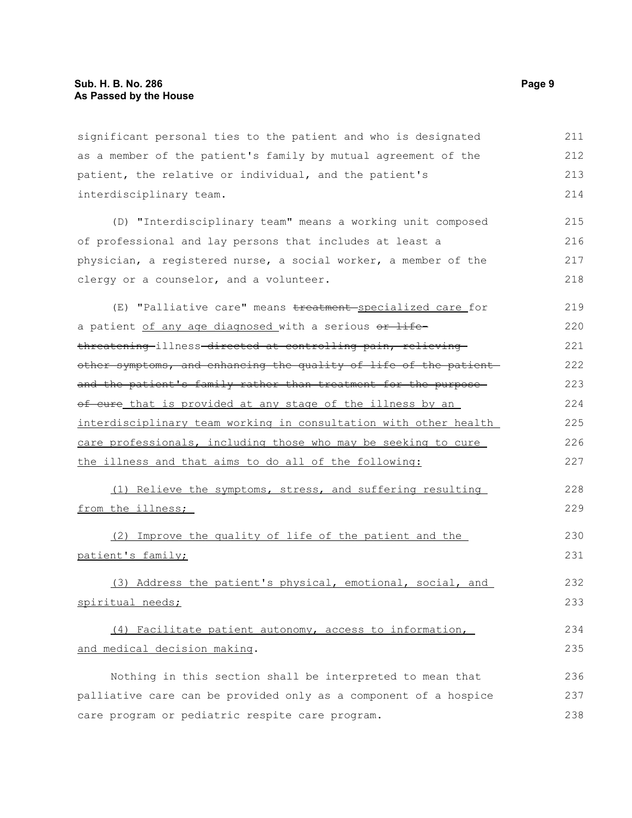significant personal ties to the patient and who is designated as a member of the patient's family by mutual agreement of the patient, the relative or individual, and the patient's interdisciplinary team. 211 212 213 214

(D) "Interdisciplinary team" means a working unit composed of professional and lay persons that includes at least a physician, a registered nurse, a social worker, a member of the clergy or a counselor, and a volunteer. 215 216 217 218

(E) "Palliative care" means treatment specialized care for a patient of any age diagnosed with a serious or lifethreatening illness directed at controlling pain, relieving other symptoms, and enhancing the quality of life of the patient and the patient's family rather than treatment for the purposeof cure that is provided at any stage of the illness by an interdisciplinary team working in consultation with other health care professionals, including those who may be seeking to cure the illness and that aims to do all of the following: 219 220 221 222 223 224 225 226 227

(1) Relieve the symptoms, stress, and suffering resulting from the illness; 228 229

(2) Improve the quality of life of the patient and the patient's family; 230 231

(3) Address the patient's physical, emotional, social, and spiritual needs; 232 233

(4) Facilitate patient autonomy, access to information, and medical decision making. 234 235

Nothing in this section shall be interpreted to mean that palliative care can be provided only as a component of a hospice care program or pediatric respite care program. 236 237 238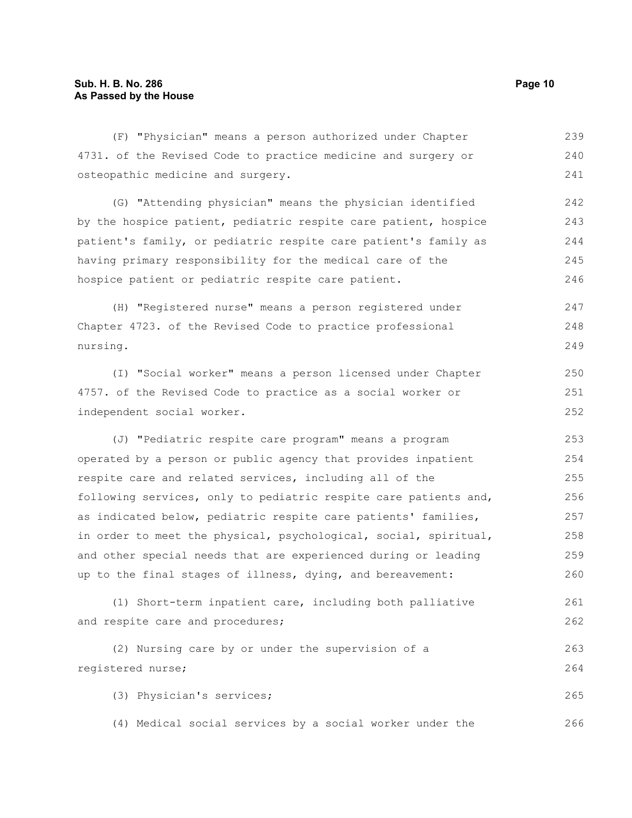(F) "Physician" means a person authorized under Chapter 4731. of the Revised Code to practice medicine and surgery or osteopathic medicine and surgery. 239 240 241

(G) "Attending physician" means the physician identified by the hospice patient, pediatric respite care patient, hospice patient's family, or pediatric respite care patient's family as having primary responsibility for the medical care of the hospice patient or pediatric respite care patient. 242 243 244 245 246

(H) "Registered nurse" means a person registered under Chapter 4723. of the Revised Code to practice professional nursing. 247 248 249

(I) "Social worker" means a person licensed under Chapter 4757. of the Revised Code to practice as a social worker or independent social worker.

(J) "Pediatric respite care program" means a program operated by a person or public agency that provides inpatient respite care and related services, including all of the following services, only to pediatric respite care patients and, as indicated below, pediatric respite care patients' families, in order to meet the physical, psychological, social, spiritual, and other special needs that are experienced during or leading up to the final stages of illness, dying, and bereavement: 253 254 255 256 257 258 259 260

(1) Short-term inpatient care, including both palliative and respite care and procedures; 261 262

(2) Nursing care by or under the supervision of a registered nurse; 263 264

(3) Physician's services; 265

(4) Medical social services by a social worker under the

250 251 252

266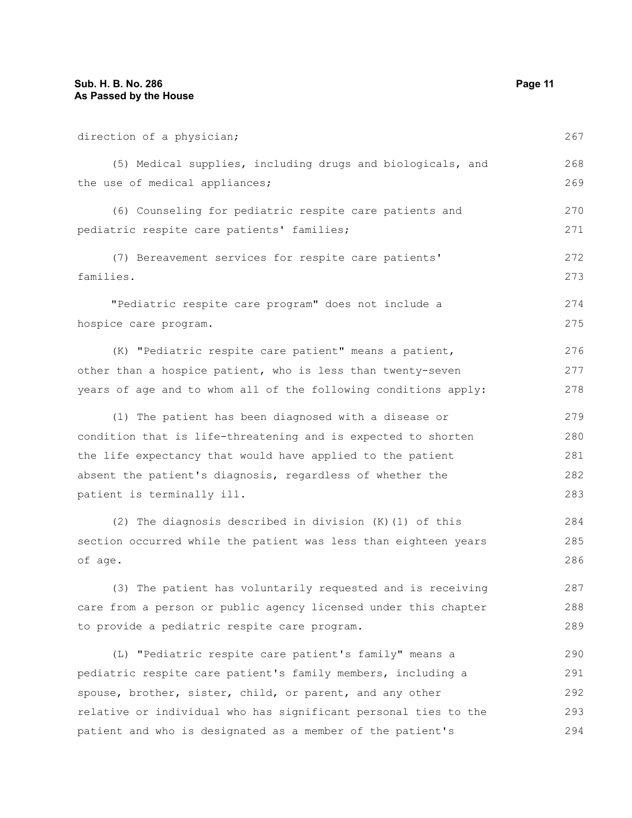direction of a physician; (5) Medical supplies, including drugs and biologicals, and the use of medical appliances; (6) Counseling for pediatric respite care patients and pediatric respite care patients' families; (7) Bereavement services for respite care patients' families. "Pediatric respite care program" does not include a hospice care program. (K) "Pediatric respite care patient" means a patient, other than a hospice patient, who is less than twenty-seven years of age and to whom all of the following conditions apply: (1) The patient has been diagnosed with a disease or condition that is life-threatening and is expected to shorten the life expectancy that would have applied to the patient absent the patient's diagnosis, regardless of whether the patient is terminally ill. (2) The diagnosis described in division (K)(1) of this section occurred while the patient was less than eighteen years of age. (3) The patient has voluntarily requested and is receiving care from a person or public agency licensed under this chapter to provide a pediatric respite care program. (L) "Pediatric respite care patient's family" means a pediatric respite care patient's family members, including a spouse, brother, sister, child, or parent, and any other 267 268 269 270 271 272 273 274 275 276 277 278 279 280 281 282 283 284 285 286 287 288 289 290 291 292

relative or individual who has significant personal ties to the patient and who is designated as a member of the patient's 293 294